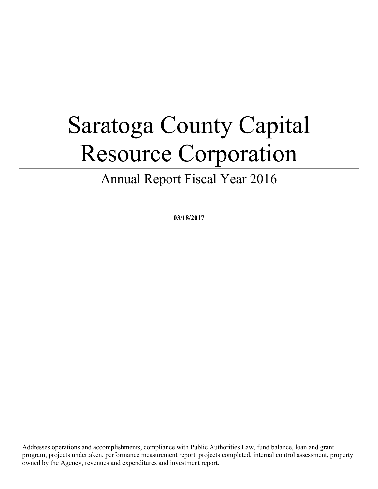# Saratoga County Capital Resource Corporation

Annual Report Fiscal Year 2016

**03/18/2017**

Addresses operations and accomplishments, compliance with Public Authorities Law, fund balance, loan and grant program, projects undertaken, performance measurement report, projects completed, internal control assessment, property owned by the Agency, revenues and expenditures and investment report.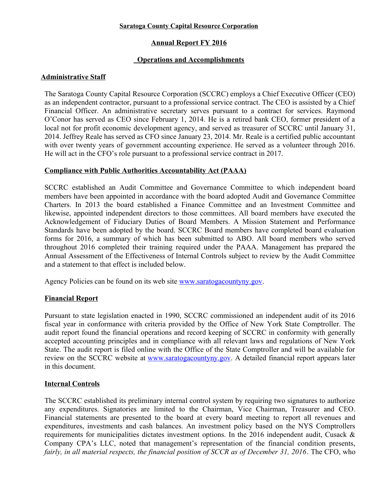#### **Saratoga County Capital Resource Corporation**

# **Annual Report FY 2016**

# **Operations and Accomplishments**

## **Administrative Staff**

The Saratoga County Capital Resource Corporation (SCCRC) employs a Chief Executive Officer (CEO) as an independent contractor, pursuant to a professional service contract. The CEO is assisted by a Chief Financial Officer. An administrative secretary serves pursuant to a contract for services. Raymond O'Conor has served as CEO since February 1, 2014. He is a retired bank CEO, former president of a local not for profit economic development agency, and served as treasurer of SCCRC until January 31, 2014. Jeffrey Reale has served as CFO since January 23, 2014. Mr. Reale is a certified public accountant with over twenty years of government accounting experience. He served as a volunteer through 2016. He will act in the CFO's role pursuant to a professional service contract in 2017.

## **Compliance with Public Authorities Accountability Act (PAAA)**

SCCRC established an Audit Committee and Governance Committee to which independent board members have been appointed in accordance with the board adopted Audit and Governance Committee Charters. In 2013 the board established a Finance Committee and an Investment Committee and likewise, appointed independent directors to those committees. All board members have executed the Acknowledgement of Fiduciary Duties of Board Members. A Mission Statement and Performance Standards have been adopted by the board. SCCRC Board members have completed board evaluation forms for 2016, a summary of which has been submitted to ABO. All board members who served throughout 2016 completed their training required under the PAAA. Management has prepared the Annual Assessment of the Effectiveness of Internal Controls subject to review by the Audit Committee and a statement to that effect is included below.

Agency Policies can be found on its web site <u>www.saratogacountyny.gov</u>.

## **Financial Report**

Pursuant to state legislation enacted in 1990, SCCRC commissioned an independent audit of its 2016 fiscal year in conformance with criteria provided by the Office of New York State Comptroller. The audit report found the financial operations and record keeping of SCCRC in conformity with generally accepted accounting principles and in compliance with all relevant laws and regulations of New York State. The audit report is filed online with the Office of the State Comptroller and will be available for review on the SCCRC website at [www.saratogacountyny.gov.](http://www.saratogacountyny.gov/) A detailed financial report appears later in this document.

# **Internal Controls**

The SCCRC established its preliminary internal control system by requiring two signatures to authorize any expenditures. Signatories are limited to the Chairman, Vice Chairman, Treasurer and CEO. Financial statements are presented to the board at every board meeting to report all revenues and expenditures, investments and cash balances. An investment policy based on the NYS Comptrollers requirements for municipalities dictates investment options. In the 2016 independent audit, Cusack & Company CPA's LLC, noted that management's representation of the financial condition presents, *fairly, in all material respects, the financial position of SCCR as of December 31, 2016*. The CFO, who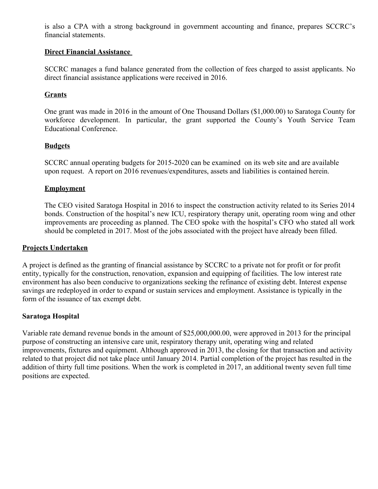is also a CPA with a strong background in government accounting and finance, prepares SCCRC's financial statements.

#### **Direct Financial Assistance**

SCCRC manages a fund balance generated from the collection of fees charged to assist applicants. No direct financial assistance applications were received in 2016.

## **Grants**

One grant was made in 2016 in the amount of One Thousand Dollars (\$1,000.00) to Saratoga County for workforce development. In particular, the grant supported the County's Youth Service Team Educational Conference.

## **Budgets**

SCCRC annual operating budgets for 2015-2020 can be examined on its web site and are available upon request. A report on 2016 revenues/expenditures, assets and liabilities is contained herein.

## **Employment**

The CEO visited Saratoga Hospital in 2016 to inspect the construction activity related to its Series 2014 bonds. Construction of the hospital's new ICU, respiratory therapy unit, operating room wing and other improvements are proceeding as planned. The CEO spoke with the hospital's CFO who stated all work should be completed in 2017. Most of the jobs associated with the project have already been filled.

## **Projects Undertaken**

A project is defined as the granting of financial assistance by SCCRC to a private not for profit or for profit entity, typically for the construction, renovation, expansion and equipping of facilities. The low interest rate environment has also been conducive to organizations seeking the refinance of existing debt. Interest expense savings are redeployed in order to expand or sustain services and employment. Assistance is typically in the form of the issuance of tax exempt debt.

## **Saratoga Hospital**

Variable rate demand revenue bonds in the amount of \$25,000,000.00, were approved in 2013 for the principal purpose of constructing an intensive care unit, respiratory therapy unit, operating wing and related improvements, fixtures and equipment. Although approved in 2013, the closing for that transaction and activity related to that project did not take place until January 2014. Partial completion of the project has resulted in the addition of thirty full time positions. When the work is completed in 2017, an additional twenty seven full time positions are expected.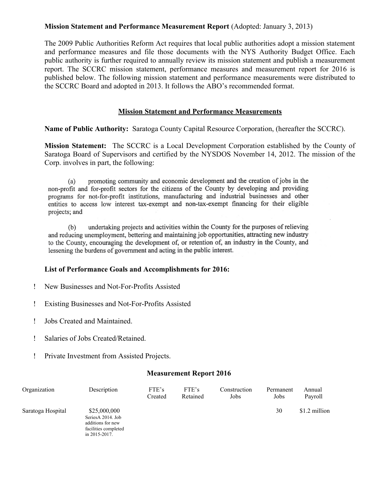## **Mission Statement and Performance Measurement Report** (Adopted: January 3, 2013)

The 2009 Public Authorities Reform Act requires that local public authorities adopt a mission statement and performance measures and file those documents with the NYS Authority Budget Office. Each public authority is further required to annually review its mission statement and publish a measurement report. The SCCRC mission statement, performance measures and measurement report for 2016 is published below. The following mission statement and performance measurements were distributed to the SCCRC Board and adopted in 2013. It follows the ABO's recommended format.

#### **Mission Statement and Performance Measurements**

**Name of Public Authority:** Saratoga County Capital Resource Corporation, (hereafter the SCCRC).

**Mission Statement:** The SCCRC is a Local Development Corporation established by the County of Saratoga Board of Supervisors and certified by the NYSDOS November 14, 2012. The mission of the Corp. involves in part, the following:

promoting community and economic development and the creation of jobs in the  $(a)$ non-profit and for-profit sectors for the citizens of the County by developing and providing programs for not-for-profit institutions, manufacturing and industrial businesses and other entities to access low interest tax-exempt and non-tax-exempt financing for their eligible projects; and

undertaking projects and activities within the County for the purposes of relieving  $(b)$ and reducing unemployment, bettering and maintaining job opportunities, attracting new industry to the County, encouraging the development of, or retention of, an industry in the County, and lessening the burdens of government and acting in the public interest.

#### **List of Performance Goals and Accomplishments for 2016:**

- New Businesses and Not-For-Profits Assisted
- Existing Businesses and Not-For-Profits Assisted
- Jobs Created and Maintained.
- Salaries of Jobs Created/Retained.
- Private Investment from Assisted Projects.

#### **Measurement Report 2016**

| Organization      | Description                                                                                     | FTE's<br>Created | FTE's<br>Retained | Construction<br>Jobs | Permanent<br>Jobs | Annual<br>Payroll |
|-------------------|-------------------------------------------------------------------------------------------------|------------------|-------------------|----------------------|-------------------|-------------------|
| Saratoga Hospital | \$25,000,000<br>SeriesA 2014. Job<br>additions for new<br>facilities completed<br>in 2015-2017. |                  |                   |                      | 30                | \$1.2 million     |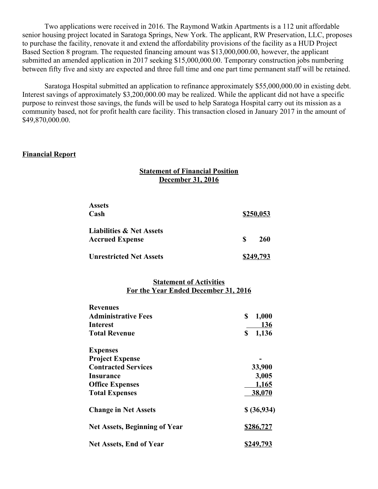Two applications were received in 2016. The Raymond Watkin Apartments is a 112 unit affordable senior housing project located in Saratoga Springs, New York. The applicant, RW Preservation, LLC, proposes to purchase the facility, renovate it and extend the affordability provisions of the facility as a HUD Project Based Section 8 program. The requested financing amount was \$13,000,000.00, however, the applicant submitted an amended application in 2017 seeking \$15,000,000.00. Temporary construction jobs numbering between fifty five and sixty are expected and three full time and one part time permanent staff will be retained.

Saratoga Hospital submitted an application to refinance approximately \$55,000,000.00 in existing debt. Interest savings of approximately \$3,200,000.00 may be realized. While the applicant did not have a specific purpose to reinvest those savings, the funds will be used to help Saratoga Hospital carry out its mission as a community based, not for profit health care facility. This transaction closed in January 2017 in the amount of \$49,870,000.00.

#### **Financial Report**

#### **Statement of Financial Position December 31, 2016**

| <b>Assets</b>                       |           |  |
|-------------------------------------|-----------|--|
| Cash                                | \$250,053 |  |
| <b>Liabilities &amp; Net Assets</b> |           |  |
| <b>Accrued Expense</b>              | S<br>260  |  |
| <b>Unrestricted Net Assets</b>      | \$249,793 |  |

#### **Statement of Activities For the Year Ended December 31, 2016**

| <b>Revenues</b>                      |             |  |  |
|--------------------------------------|-------------|--|--|
| <b>Administrative Fees</b>           | 1,000<br>\$ |  |  |
| Interest                             | <b>136</b>  |  |  |
| <b>Total Revenue</b>                 | 1,136<br>\$ |  |  |
| <b>Expenses</b>                      |             |  |  |
| <b>Project Expense</b>               |             |  |  |
| <b>Contracted Services</b>           | 33,900      |  |  |
| Insurance                            | 3,005       |  |  |
| <b>Office Expenses</b>               | 1,165       |  |  |
| <b>Total Expenses</b>                | 38,070      |  |  |
| <b>Change in Net Assets</b>          | \$ (36,934) |  |  |
| <b>Net Assets, Beginning of Year</b> | \$286,727   |  |  |
| <b>Net Assets, End of Year</b>       | \$249,793   |  |  |